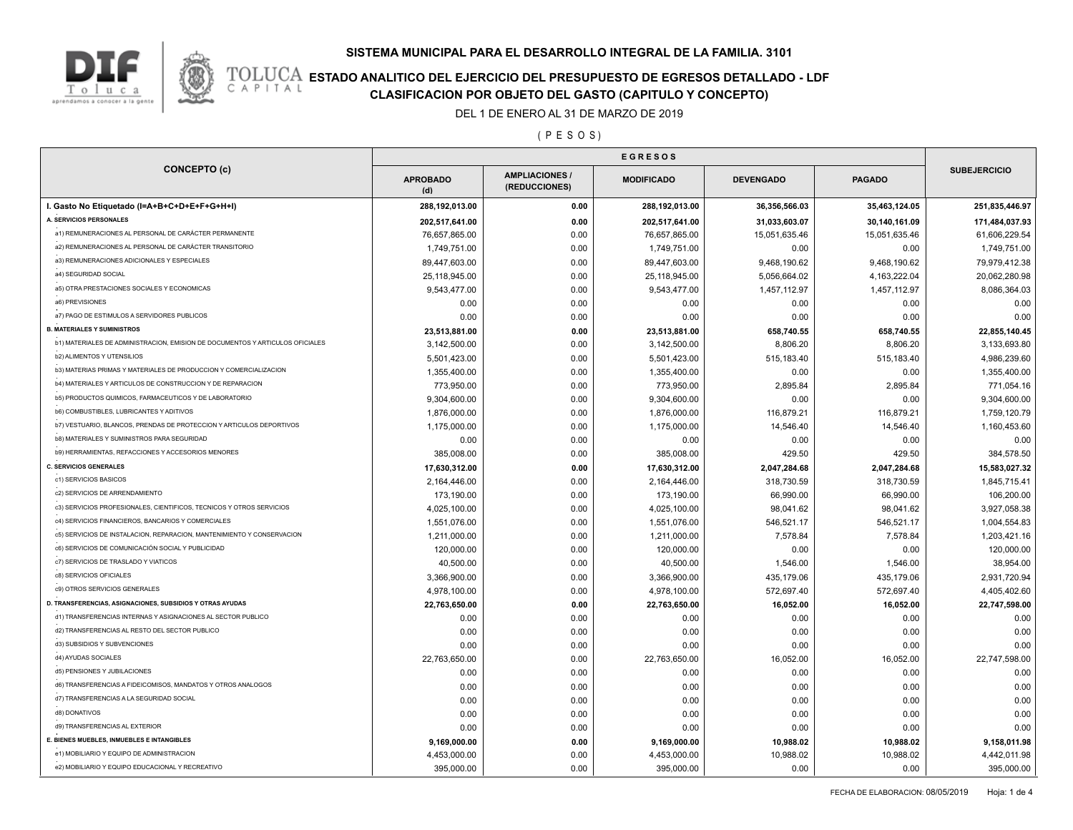

**TOLUCA ESTADO ANALITICO DEL EJERCICIO DEL PRESUPUESTO DE EGRESOS DETALLADO - LDF**<br>CAPITAL CIASIFICACION POR OBJETO DEL GASTO (CAPITULO Y CONCEPTO) **CLASIFICACION POR OBJETO DEL GASTO (CAPITULO Y CONCEPTO)**

DEL 1 DE ENERO AL 31 DE MARZO DE 2019

( P E S O S )

| <b>CONCEPTO (c)</b>                                                           | <b>APROBADO</b><br>(d) | <b>AMPLIACIONES/</b><br>(REDUCCIONES) | <b>MODIFICADO</b> | <b>DEVENGADO</b> | <b>PAGADO</b> | <b>SUBEJERCICIO</b> |
|-------------------------------------------------------------------------------|------------------------|---------------------------------------|-------------------|------------------|---------------|---------------------|
| I. Gasto No Etiquetado (I=A+B+C+D+E+F+G+H+I)                                  | 288,192,013.00         | 0.00                                  | 288,192,013.00    | 36,356,566.03    | 35,463,124.05 | 251,835,446.97      |
| A. SERVICIOS PERSONALES                                                       | 202,517,641.00         | 0.00                                  | 202,517,641.00    | 31,033,603.07    | 30,140,161.09 | 171,484,037.93      |
| a1) REMUNERACIONES AL PERSONAL DE CARÁCTER PERMANENTE                         | 76,657,865.00          | 0.00                                  | 76,657,865.00     | 15,051,635.46    | 15,051,635.46 | 61,606,229.54       |
| a2) REMUNERACIONES AL PERSONAL DE CARÁCTER TRANSITORIO                        | 1,749,751.00           | 0.00                                  | 1,749,751.00      | 0.00             | 0.00          | 1,749,751.00        |
| a3) REMUNERACIONES ADICIONALES Y ESPECIALES                                   | 89,447,603.00          | 0.00                                  | 89,447,603.00     | 9,468,190.62     | 9,468,190.62  | 79,979,412.38       |
| a4) SEGURIDAD SOCIAL                                                          | 25,118,945.00          | 0.00                                  | 25,118,945.00     | 5,056,664.02     | 4,163,222.04  | 20,062,280.98       |
| a5) OTRA PRESTACIONES SOCIALES Y ECONOMICAS                                   | 9,543,477.00           | 0.00                                  | 9,543,477.00      | 1,457,112.97     | 1,457,112.97  | 8,086,364.03        |
| a6) PREVISIONES                                                               | 0.00                   | 0.00                                  | 0.00              | 0.00             | 0.00          | 0.00                |
| a7) PAGO DE ESTIMULOS A SERVIDORES PUBLICOS                                   | 0.00                   | 0.00                                  | 0.00              | 0.00             | 0.00          | 0.00                |
| <b>B. MATERIALES Y SUMINISTROS</b>                                            | 23,513,881.00          | 0.00                                  | 23,513,881.00     | 658,740.55       | 658,740.55    | 22,855,140.45       |
| b1) MATERIALES DE ADMINISTRACION, EMISION DE DOCUMENTOS Y ARTICULOS OFICIALES | 3,142,500.00           | 0.00                                  | 3,142,500.00      | 8,806.20         | 8,806.20      | 3,133,693.80        |
| <b>b2) ALIMENTOS Y UTENSILIOS</b>                                             | 5,501,423.00           | 0.00                                  | 5,501,423.00      | 515,183.40       | 515,183.40    | 4,986,239.60        |
| b3) MATERIAS PRIMAS Y MATERIALES DE PRODUCCION Y COMERCIALIZACION             | 1,355,400.00           | 0.00                                  | 1,355,400.00      | 0.00             | 0.00          | 1,355,400.00        |
| b4) MATERIALES Y ARTICULOS DE CONSTRUCCION Y DE REPARACION                    | 773,950.00             | 0.00                                  | 773,950.00        | 2,895.84         | 2,895.84      | 771,054.16          |
| b5) PRODUCTOS QUIMICOS, FARMACEUTICOS Y DE LABORATORIO                        | 9,304,600.00           | 0.00                                  | 9,304,600.00      | 0.00             | 0.00          | 9,304,600.00        |
| b6) COMBUSTIBLES, LUBRICANTES Y ADITIVOS                                      | 1,876,000.00           | 0.00                                  | 1,876,000.00      | 116,879.21       | 116,879.21    | 1,759,120.79        |
| b7) VESTUARIO, BLANCOS, PRENDAS DE PROTECCION Y ARTICULOS DEPORTIVOS          | 1,175,000.00           | 0.00                                  | 1,175,000.00      | 14,546.40        | 14,546.40     | 1,160,453.60        |
| b8) MATERIALES Y SUMINISTROS PARA SEGURIDAD                                   | 0.00                   | 0.00                                  | 0.00              | 0.00             | 0.00          | 0.00                |
| b9) HERRAMIENTAS, REFACCIONES Y ACCESORIOS MENORES                            | 385,008.00             | 0.00                                  | 385,008.00        | 429.50           | 429.50        | 384,578.50          |
| <b>C. SERVICIOS GENERALES</b>                                                 | 17,630,312.00          | 0.00                                  | 17,630,312.00     | 2,047,284.68     | 2,047,284.68  | 15,583,027.32       |
| c1) SERVICIOS BASICOS                                                         | 2,164,446.00           | 0.00                                  | 2,164,446.00      | 318,730.59       | 318,730.59    | 1,845,715.41        |
| c2) SERVICIOS DE ARRENDAMIENTO                                                | 173,190.00             | 0.00                                  | 173,190.00        | 66,990.00        | 66,990.00     | 106,200.00          |
| c3) SERVICIOS PROFESIONALES, CIENTIFICOS, TECNICOS Y OTROS SERVICIOS          | 4,025,100.00           | 0.00                                  | 4,025,100.00      | 98,041.62        | 98,041.62     | 3,927,058.38        |
| c4) SERVICIOS FINANCIEROS, BANCARIOS Y COMERCIALES                            | 1,551,076.00           | 0.00                                  | 1,551,076.00      | 546,521.17       | 546,521.17    | 1,004,554.83        |
| c5) SERVICIOS DE INSTALACION, REPARACION, MANTENIMIENTO Y CONSERVACION        | 1,211,000.00           | 0.00                                  | 1,211,000.00      | 7,578.84         | 7,578.84      | 1,203,421.16        |
| c6) SERVICIOS DE COMUNICACIÓN SOCIAL Y PUBLICIDAD                             | 120,000.00             | 0.00                                  | 120,000.00        | 0.00             | 0.00          | 120,000.00          |
| c7) SERVICIOS DE TRASLADO Y VIATICOS                                          | 40,500.00              | 0.00                                  | 40,500.00         | 1,546.00         | 1,546.00      | 38,954.00           |
| c8) SERVICIOS OFICIALES                                                       | 3,366,900.00           | 0.00                                  | 3,366,900.00      | 435,179.06       | 435,179.06    | 2,931,720.94        |
| c9) OTROS SERVICIOS GENERALES                                                 | 4,978,100.00           | 0.00                                  | 4,978,100.00      | 572,697.40       | 572,697.40    | 4,405,402.60        |
| D. TRANSFERENCIAS, ASIGNACIONES, SUBSIDIOS Y OTRAS AYUDAS                     | 22,763,650.00          | 0.00                                  | 22,763,650.00     | 16,052.00        | 16,052.00     | 22,747,598.00       |
| d1) TRANSFERENCIAS INTERNAS Y ASIGNACIONES AL SECTOR PUBLICO                  | 0.00                   | 0.00                                  | 0.00              | 0.00             | 0.00          | 0.00                |
| d2) TRANSFERENCIAS AL RESTO DEL SECTOR PUBLICO                                | 0.00                   | 0.00                                  | 0.00              | 0.00             | 0.00          | 0.00                |
| d3) SUBSIDIOS Y SUBVENCIONES                                                  | 0.00                   | 0.00                                  | 0.00              | 0.00             | 0.00          | 0.00                |
| d4) AYUDAS SOCIALES                                                           | 22,763,650.00          | 0.00                                  | 22,763,650.00     | 16,052.00        | 16,052.00     | 22,747,598.00       |
| d5) PENSIONES Y JUBILACIONES                                                  | 0.00                   | 0.00                                  | 0.00              | 0.00             | 0.00          | 0.00                |
| d6) TRANSFERENCIAS A FIDEICOMISOS, MANDATOS Y OTROS ANALOGOS                  | 0.00                   | 0.00                                  | 0.00              | 0.00             | 0.00          | 0.00                |
| d7) TRANSFERENCIAS A LA SEGURIDAD SOCIAL                                      | 0.00                   | 0.00                                  | 0.00              | 0.00             | 0.00          | 0.00                |
| d8) DONATIVOS                                                                 | 0.00                   | 0.00                                  | 0.00              | 0.00             | 0.00          | 0.00                |
| d9) TRANSFERENCIAS AL EXTERIOR                                                | 0.00                   | 0.00                                  | 0.00              | 0.00             | 0.00          | 0.00                |
| E. BIENES MUEBLES, INMUEBLES E INTANGIBLES                                    |                        |                                       |                   |                  |               |                     |
| e1) MOBILIARIO Y EQUIPO DE ADMINISTRACION                                     | 9,169,000.00           | 0.00                                  | 9,169,000.00      | 10,988.02        | 10,988.02     | 9,158,011.98        |
| e2) MOBILIARIO Y EQUIPO EDUCACIONAL Y RECREATIVO                              | 4,453,000.00           | 0.00                                  | 4,453,000.00      | 10,988.02        | 10,988.02     | 4,442,011.98        |
|                                                                               | 395,000.00             | 0.00                                  | 395,000.00        | 0.00             | 0.00          | 395,000.00          |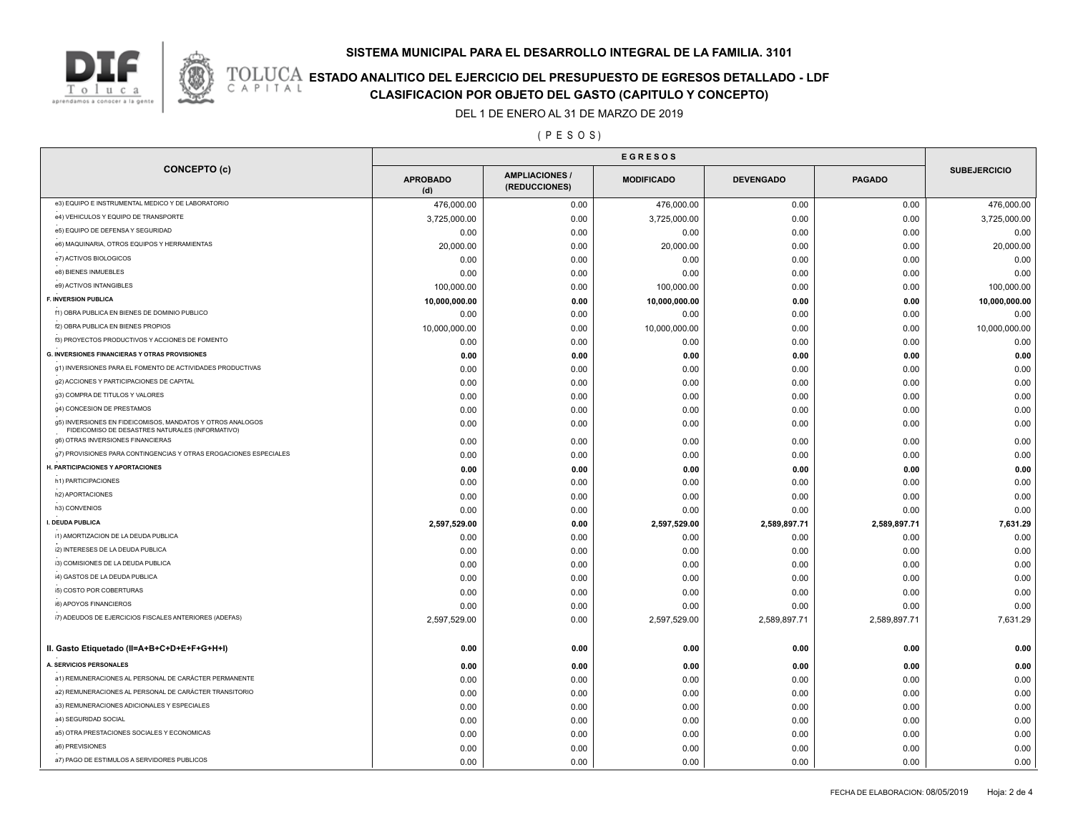

## **TOLUCA ESTADO ANALITICO DEL EJERCICIO DEL PRESUPUESTO DE EGRESOS DETALLADO - LDF**<br>CAPITAL CIASIFICACION POR OBJETO DEL GASTO (CAPITULO Y CONCEPTO) **CLASIFICACION POR OBJETO DEL GASTO (CAPITULO Y CONCEPTO)**

DEL 1 DE ENERO AL 31 DE MARZO DE 2019

( P E S O S )

| <b>CONCEPTO (c)</b>                                                                                            | <b>APROBADO</b><br>(d) | <b>AMPLIACIONES /</b><br>(REDUCCIONES) | <b>MODIFICADO</b> | <b>DEVENGADO</b> | <b>PAGADO</b> | <b>SUBEJERCICIO</b> |
|----------------------------------------------------------------------------------------------------------------|------------------------|----------------------------------------|-------------------|------------------|---------------|---------------------|
| e3) EQUIPO E INSTRUMENTAL MEDICO Y DE LABORATORIO                                                              | 476,000.00             | 0.00                                   | 476,000.00        | 0.00             | 0.00          | 476,000.00          |
| e4) VEHICULOS Y EQUIPO DE TRANSPORTE                                                                           | 3,725,000.00           | 0.00                                   | 3,725,000.00      | 0.00             | 0.00          | 3,725,000.00        |
| e5) EQUIPO DE DEFENSA Y SEGURIDAD                                                                              | 0.00                   | 0.00                                   | 0.00              | 0.00             | 0.00          | 0.00                |
| e6) MAQUINARIA, OTROS EQUIPOS Y HERRAMIENTAS                                                                   | 20,000.00              | 0.00                                   | 20,000.00         | 0.00             | 0.00          | 20,000.00           |
| e7) ACTIVOS BIOLOGICOS                                                                                         | 0.00                   | 0.00                                   | 0.00              | 0.00             | 0.00          | 0.00                |
| e8) BIENES INMUEBLES                                                                                           | 0.00                   | 0.00                                   | 0.00              | 0.00             | 0.00          | 0.00                |
| e9) ACTIVOS INTANGIBLES                                                                                        | 100,000.00             | 0.00                                   | 100,000.00        | 0.00             | 0.00          | 100,000.00          |
| F. INVERSION PUBLICA                                                                                           | 10,000,000.00          | 0.00                                   | 10,000,000.00     | 0.00             | 0.00          | 10,000,000.00       |
| f1) OBRA PUBLICA EN BIENES DE DOMINIO PUBLICO                                                                  | 0.00                   | 0.00                                   | 0.00              | 0.00             | 0.00          | 0.00                |
| f2) OBRA PUBLICA EN BIENES PROPIOS                                                                             | 10,000,000.00          | 0.00                                   | 10,000,000.00     | 0.00             | 0.00          | 10,000,000.00       |
| f3) PROYECTOS PRODUCTIVOS Y ACCIONES DE FOMENTO                                                                | 0.00                   | 0.00                                   | 0.00              | 0.00             | 0.00          | 0.00                |
| <b>G. INVERSIONES FINANCIERAS Y OTRAS PROVISIONES</b>                                                          | 0.00                   | 0.00                                   | 0.00              | 0.00             | 0.00          | 0.00                |
| g1) INVERSIONES PARA EL FOMENTO DE ACTIVIDADES PRODUCTIVAS                                                     | 0.00                   | 0.00                                   | 0.00              | 0.00             | 0.00          | 0.00                |
| g2) ACCIONES Y PARTICIPACIONES DE CAPITAL                                                                      | 0.00                   | 0.00                                   | 0.00              | 0.00             | 0.00          | 0.00                |
| g3) COMPRA DE TITULOS Y VALORES                                                                                | 0.00                   | 0.00                                   | 0.00              | 0.00             | 0.00          | 0.00                |
| g4) CONCESION DE PRESTAMOS                                                                                     | 0.00                   | 0.00                                   | 0.00              | 0.00             | 0.00          | 0.00                |
| g5) INVERSIONES EN FIDEICOMISOS, MANDATOS Y OTROS ANALOGOS<br>FIDEICOMISO DE DESASTRES NATURALES (INFORMATIVO) | 0.00                   | 0.00                                   | 0.00              | 0.00             | 0.00          | 0.00                |
| g6) OTRAS INVERSIONES FINANCIERAS                                                                              | 0.00                   | 0.00                                   | 0.00              | 0.00             | 0.00          | 0.00                |
| g7) PROVISIONES PARA CONTINGENCIAS Y OTRAS EROGACIONES ESPECIALES                                              | 0.00                   | 0.00                                   | 0.00              | 0.00             | 0.00          | 0.00                |
| H. PARTICIPACIONES Y APORTACIONES                                                                              | 0.00                   | 0.00                                   | 0.00              | 0.00             | 0.00          | 0.00                |
| h1) PARTICIPACIONES                                                                                            | 0.00                   | 0.00                                   | 0.00              | 0.00             | 0.00          | 0.00                |
| h2) APORTACIONES                                                                                               | 0.00                   | 0.00                                   | 0.00              | 0.00             | 0.00          | 0.00                |
| h3) CONVENIOS                                                                                                  | 0.00                   | 0.00                                   | 0.00              | 0.00             | 0.00          | 0.00                |
| I. DEUDA PUBLICA                                                                                               | 2,597,529.00           | 0.00                                   | 2,597,529.00      | 2,589,897.71     | 2,589,897.71  | 7,631.29            |
| i1) AMORTIZACION DE LA DEUDA PUBLICA                                                                           | 0.00                   | 0.00                                   | 0.00              | 0.00             | 0.00          | 0.00                |
| i2) INTERESES DE LA DEUDA PUBLICA                                                                              | 0.00                   | 0.00                                   | 0.00              | 0.00             | 0.00          | 0.00                |
| i3) COMISIONES DE LA DEUDA PUBLICA                                                                             | 0.00                   | 0.00                                   | 0.00              | 0.00             | 0.00          | 0.00                |
| i4) GASTOS DE LA DEUDA PUBLICA                                                                                 | 0.00                   | 0.00                                   | 0.00              | 0.00             | 0.00          | 0.00                |
| i5) COSTO POR COBERTURAS                                                                                       | 0.00                   | 0.00                                   | 0.00              | 0.00             | 0.00          | 0.00                |
| i6) APOYOS FINANCIEROS                                                                                         | 0.00                   | 0.00                                   | 0.00              | 0.00             | 0.00          | 0.00                |
| i7) ADEUDOS DE EJERCICIOS FISCALES ANTERIORES (ADEFAS)                                                         | 2,597,529.00           | 0.00                                   | 2,597,529.00      | 2,589,897.71     | 2,589,897.71  | 7,631.29            |
| II. Gasto Etiquetado (II=A+B+C+D+E+F+G+H+I)                                                                    | 0.00                   | 0.00                                   | 0.00              | 0.00             | 0.00          | 0.00                |
| A. SERVICIOS PERSONALES                                                                                        | 0.00                   | 0.00                                   | 0.00              | 0.00             | 0.00          | 0.00                |
| a1) REMUNERACIONES AL PERSONAL DE CARÁCTER PERMANENTE                                                          | 0.00                   | 0.00                                   | 0.00              | 0.00             | 0.00          | 0.00                |
| a2) REMUNERACIONES AL PERSONAL DE CARÁCTER TRANSITORIO                                                         | 0.00                   | 0.00                                   | 0.00              | 0.00             | 0.00          | 0.00                |
| a3) REMUNERACIONES ADICIONALES Y ESPECIALES                                                                    | 0.00                   | 0.00                                   | 0.00              | 0.00             | 0.00          | 0.00                |
| a4) SEGURIDAD SOCIAL                                                                                           | 0.00                   | 0.00                                   | 0.00              | 0.00             | 0.00          | 0.00                |
| a5) OTRA PRESTACIONES SOCIALES Y ECONOMICAS                                                                    | 0.00                   | 0.00                                   | 0.00              | 0.00             | 0.00          | 0.00                |
| a6) PREVISIONES                                                                                                | 0.00                   | 0.00                                   | 0.00              | 0.00             | 0.00          | 0.00                |
| a7) PAGO DE ESTIMULOS A SERVIDORES PUBLICOS                                                                    | 0.00                   | 0.00                                   | 0.00              | 0.00             | 0.00          | 0.00                |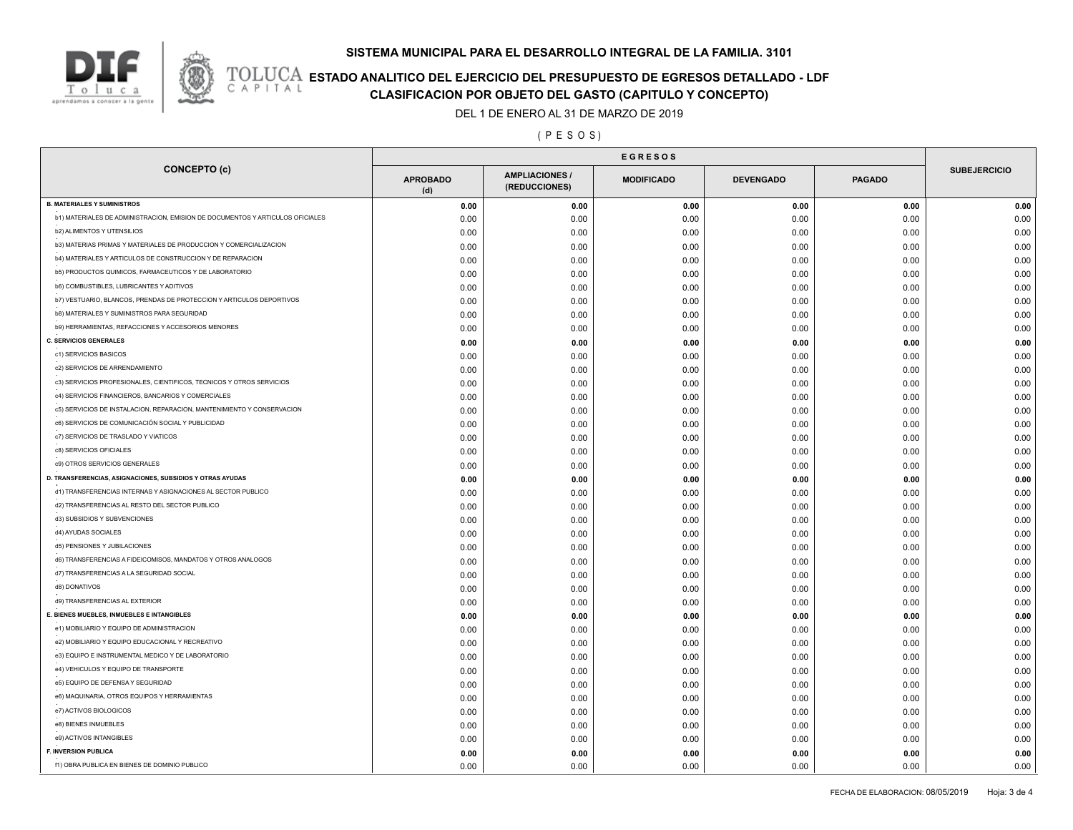

## **ESTADO ANALITICO DEL EJERCICIO DEL PRESUPUESTO DE EGRESOS DETALLADO - LDF**<br>CAPITAL CIASIFICACION POR OBJETO DEL GASTO (CAPITULO Y CONCEPTO) **CLASIFICACION POR OBJETO DEL GASTO (CAPITULO Y CONCEPTO)**

DEL 1 DE ENERO AL 31 DE MARZO DE 2019

( P E S O S )

| <b>CONCEPTO (c)</b>                                                           | <b>APROBADO</b><br>(d) | <b>AMPLIACIONES/</b><br>(REDUCCIONES) | <b>MODIFICADO</b> | <b>DEVENGADO</b> | <b>PAGADO</b> | <b>SUBEJERCICIO</b> |
|-------------------------------------------------------------------------------|------------------------|---------------------------------------|-------------------|------------------|---------------|---------------------|
| <b>B. MATERIALES Y SUMINISTROS</b>                                            | 0.00                   | 0.00                                  | 0.00              | 0.00             | 0.00          | 0.00                |
| b1) MATERIALES DE ADMINISTRACION, EMISION DE DOCUMENTOS Y ARTICULOS OFICIALES | 0.00                   | 0.00                                  | 0.00              | 0.00             | 0.00          | 0.00                |
| <b>b2) ALIMENTOS Y UTENSILIOS</b>                                             | 0.00                   | 0.00                                  | 0.00              | 0.00             | 0.00          | 0.00                |
| b3) MATERIAS PRIMAS Y MATERIALES DE PRODUCCION Y COMERCIALIZACION             | 0.00                   | 0.00                                  | 0.00              | 0.00             | 0.00          | 0.00                |
| b4) MATERIALES Y ARTICULOS DE CONSTRUCCION Y DE REPARACION                    | 0.00                   | 0.00                                  | 0.00              | 0.00             | 0.00          | 0.00                |
| b5) PRODUCTOS QUIMICOS, FARMACEUTICOS Y DE LABORATORIO                        | 0.00                   | 0.00                                  | 0.00              | 0.00             | 0.00          | 0.00                |
| <b>b6) COMBUSTIBLES, LUBRICANTES Y ADITIVOS</b>                               | 0.00                   | 0.00                                  | 0.00              | 0.00             | 0.00          | 0.00                |
| b7) VESTUARIO, BLANCOS, PRENDAS DE PROTECCION Y ARTICULOS DEPORTIVOS          | 0.00                   | 0.00                                  | 0.00              | 0.00             | 0.00          | 0.00                |
| <b>b8) MATERIALES Y SUMINISTROS PARA SEGURIDAD</b>                            | 0.00                   | 0.00                                  | 0.00              | 0.00             | 0.00          | 0.00                |
| b9) HERRAMIENTAS, REFACCIONES Y ACCESORIOS MENORES                            | 0.00                   | 0.00                                  | 0.00              | 0.00             | 0.00          | 0.00                |
| <b>C. SERVICIOS GENERALES</b>                                                 | 0.00                   | 0.00                                  | 0.00              | 0.00             | 0.00          | 0.00                |
| c1) SERVICIOS BASICOS                                                         | 0.00                   | 0.00                                  | 0.00              | 0.00             | 0.00          | 0.00                |
| c2) SERVICIOS DE ARRENDAMIENTO                                                | 0.00                   | 0.00                                  | 0.00              | 0.00             | 0.00          | 0.00                |
| c3) SERVICIOS PROFESIONALES, CIENTIFICOS, TECNICOS Y OTROS SERVICIOS          | 0.00                   | 0.00                                  | 0.00              | 0.00             | 0.00          | 0.00                |
| c4) SERVICIOS FINANCIEROS, BANCARIOS Y COMERCIALES                            | 0.00                   | 0.00                                  | 0.00              | 0.00             | 0.00          | 0.00                |
| c5) SERVICIOS DE INSTALACION, REPARACION, MANTENIMIENTO Y CONSERVACION        | 0.00                   | 0.00                                  | 0.00              | 0.00             | 0.00          | 0.00                |
| c6) SERVICIOS DE COMUNICACIÓN SOCIAL Y PUBLICIDAD                             | 0.00                   | 0.00                                  | 0.00              | 0.00             | 0.00          | 0.00                |
| c7) SERVICIOS DE TRASLADO Y VIATICOS                                          | 0.00                   | 0.00                                  | 0.00              | 0.00             | 0.00          | 0.00                |
| c8) SERVICIOS OFICIALES                                                       | 0.00                   | 0.00                                  | 0.00              | 0.00             | 0.00          | 0.00                |
| c9) OTROS SERVICIOS GENERALES                                                 | 0.00                   | 0.00                                  | 0.00              | 0.00             | 0.00          | 0.00                |
| D. TRANSFERENCIAS, ASIGNACIONES, SUBSIDIOS Y OTRAS AYUDAS                     | 0.00                   | 0.00                                  | 0.00              | 0.00             | 0.00          | 0.00                |
| d1) TRANSFERENCIAS INTERNAS Y ASIGNACIONES AL SECTOR PUBLICO                  | 0.00                   | 0.00                                  | 0.00              | 0.00             | 0.00          | 0.00                |
| d2) TRANSFERENCIAS AL RESTO DEL SECTOR PUBLICO                                | 0.00                   | 0.00                                  | 0.00              | 0.00             | 0.00          | 0.00                |
| d3) SUBSIDIOS Y SUBVENCIONES                                                  | 0.00                   | 0.00                                  | 0.00              | 0.00             | 0.00          | 0.00                |
| d4) AYUDAS SOCIALES                                                           | 0.00                   | 0.00                                  | 0.00              | 0.00             | 0.00          | 0.00                |
| d5) PENSIONES Y JUBILACIONES                                                  | 0.00                   | 0.00                                  | 0.00              | 0.00             | 0.00          | 0.00                |
| d6) TRANSFERENCIAS A FIDEICOMISOS, MANDATOS Y OTROS ANALOGOS                  | 0.00                   | 0.00                                  | 0.00              | 0.00             | 0.00          | 0.00                |
| d7) TRANSFERENCIAS A LA SEGURIDAD SOCIAL                                      |                        |                                       |                   |                  | 0.00          | 0.00                |
| d8) DONATIVOS                                                                 | 0.00<br>0.00           | 0.00<br>0.00                          | 0.00              | 0.00             | 0.00          | 0.00                |
| d9) TRANSFERENCIAS AL EXTERIOR                                                | 0.00                   | 0.00                                  | 0.00<br>0.00      | 0.00<br>0.00     | 0.00          | 0.00                |
| E. BIENES MUEBLES, INMUEBLES E INTANGIBLES                                    | 0.00                   | 0.00                                  | 0.00              | 0.00             | 0.00          | 0.00                |
| e1) MOBILIARIO Y EQUIPO DE ADMINISTRACION                                     |                        |                                       |                   |                  |               | 0.00                |
| e2) MOBILIARIO Y EQUIPO EDUCACIONAL Y RECREATIVO                              | 0.00                   | 0.00                                  | 0.00              | 0.00             | 0.00<br>0.00  | 0.00                |
| e3) EQUIPO E INSTRUMENTAL MEDICO Y DE LABORATORIO                             | 0.00<br>0.00           | 0.00<br>0.00                          | 0.00              | 0.00<br>0.00     | 0.00          | 0.00                |
| e4) VEHICULOS Y EQUIPO DE TRANSPORTE                                          |                        |                                       | 0.00              |                  |               |                     |
| e5) EQUIPO DE DEFENSA Y SEGURIDAD                                             | 0.00                   | 0.00                                  | 0.00              | 0.00             | 0.00          | 0.00                |
| e6) MAQUINARIA, OTROS EQUIPOS Y HERRAMIENTAS                                  | 0.00                   | 0.00                                  | 0.00              | 0.00             | 0.00          | 0.00                |
| e7) ACTIVOS BIOLOGICOS                                                        | 0.00                   | 0.00                                  | 0.00              | 0.00             | 0.00          | 0.00                |
| e8) BIENES INMUEBLES                                                          | 0.00                   | 0.00                                  | 0.00              | 0.00             | 0.00          | 0.00                |
| e9) ACTIVOS INTANGIBLES                                                       | 0.00                   | 0.00                                  | 0.00              | 0.00             | 0.00          | 0.00                |
| <b>F. INVERSION PUBLICA</b>                                                   | 0.00                   | 0.00                                  | 0.00              | 0.00             | 0.00          | 0.00                |
|                                                                               | 0.00                   | 0.00                                  | 0.00              | 0.00             | 0.00          | 0.00                |
| f1) OBRA PUBLICA EN BIENES DE DOMINIO PUBLICO                                 | 0.00                   | 0.00                                  | 0.00              | 0.00             | 0.00          | 0.00                |